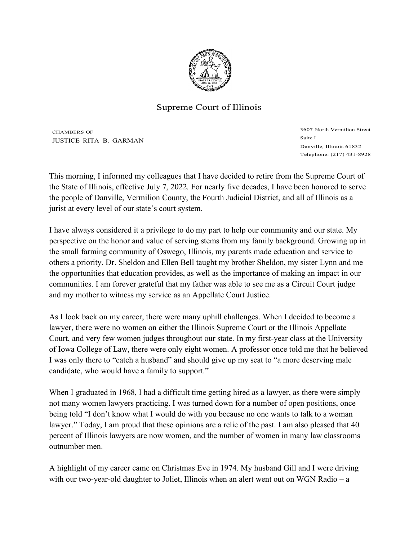

## Supreme Court of Illinois

CHAMBERS OF JUSTICE RITA B. GARMAN 3607 North Vermilion Street Suite I Danville, Illinois 61832 Telephone: (217) 431-8928

This morning, I informed my colleagues that I have decided to retire from the Supreme Court of the State of Illinois, effective July 7, 2022. For nearly five decades, I have been honored to serve the people of Danville, Vermilion County, the Fourth Judicial District, and all of Illinois as a jurist at every level of our state's court system.

I have always considered it a privilege to do my part to help our community and our state. My perspective on the honor and value of serving stems from my family background. Growing up in the small farming community of Oswego, Illinois, my parents made education and service to others a priority. Dr. Sheldon and Ellen Bell taught my brother Sheldon, my sister Lynn and me the opportunities that education provides, as well as the importance of making an impact in our communities. I am forever grateful that my father was able to see me as a Circuit Court judge and my mother to witness my service as an Appellate Court Justice.

As I look back on my career, there were many uphill challenges. When I decided to become a lawyer, there were no women on either the Illinois Supreme Court or the Illinois Appellate Court, and very few women judges throughout our state. In my first-year class at the University of Iowa College of Law, there were only eight women. A professor once told me that he believed I was only there to "catch a husband" and should give up my seat to "a more deserving male candidate, who would have a family to support."

When I graduated in 1968, I had a difficult time getting hired as a lawyer, as there were simply not many women lawyers practicing. I was turned down for a number of open positions, once being told "I don't know what I would do with you because no one wants to talk to a woman lawyer." Today, I am proud that these opinions are a relic of the past. I am also pleased that 40 percent of Illinois lawyers are now women, and the number of women in many law classrooms outnumber men.

A highlight of my career came on Christmas Eve in 1974. My husband Gill and I were driving with our two-year-old daughter to Joliet, Illinois when an alert went out on WGN Radio – a